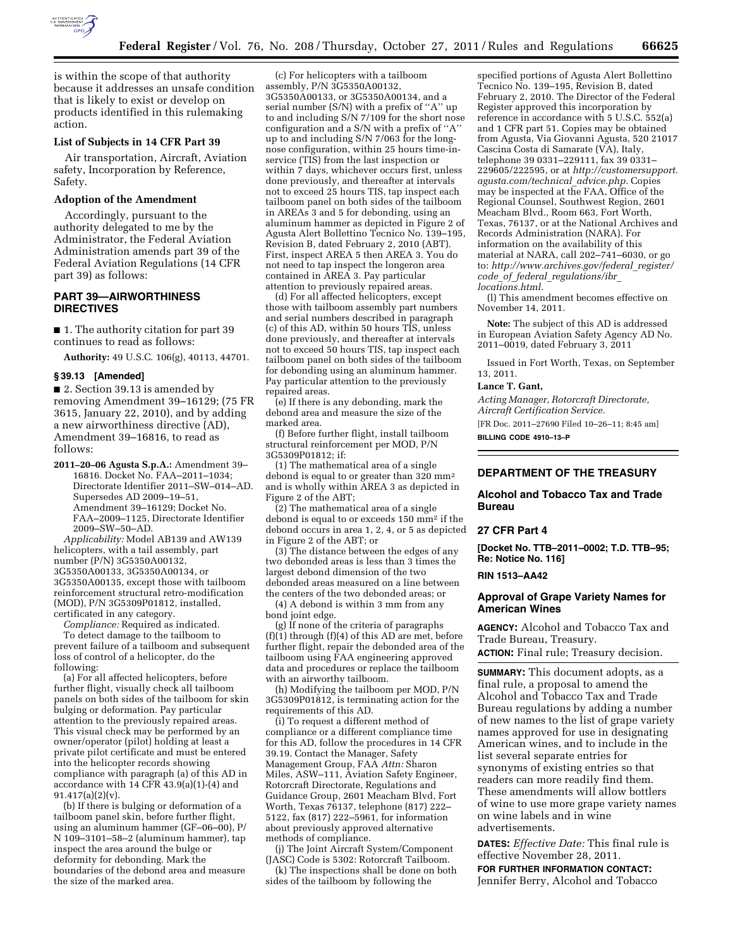

is within the scope of that authority because it addresses an unsafe condition that is likely to exist or develop on products identified in this rulemaking action.

### **List of Subjects in 14 CFR Part 39**

Air transportation, Aircraft, Aviation safety, Incorporation by Reference, Safety.

#### **Adoption of the Amendment**

Accordingly, pursuant to the authority delegated to me by the Administrator, the Federal Aviation Administration amends part 39 of the Federal Aviation Regulations (14 CFR part 39) as follows:

### **PART 39—AIRWORTHINESS DIRECTIVES**

■ 1. The authority citation for part 39 continues to read as follows:

**Authority:** 49 U.S.C. 106(g), 40113, 44701.

### **§ 39.13 [Amended]**

■ 2. Section 39.13 is amended by removing Amendment 39–16129; (75 FR 3615, January 22, 2010), and by adding a new airworthiness directive (AD), Amendment 39–16816, to read as follows:

**2011–20–06 Agusta S.p.A.:** Amendment 39– 16816. Docket No. FAA–2011–1034; Directorate Identifier 2011–SW–014–AD. Supersedes AD 2009–19–51, Amendment 39–16129; Docket No. FAA–2009–1125, Directorate Identifier 2009–SW–50–AD.

*Applicability:* Model AB139 and AW139 helicopters, with a tail assembly, part number (P/N) 3G5350A00132, 3G5350A00133, 3G5350A00134, or 3G5350A00135, except those with tailboom reinforcement structural retro-modification (MOD), P/N 3G5309P01812, installed, certificated in any category.

*Compliance:* Required as indicated. To detect damage to the tailboom to prevent failure of a tailboom and subsequent loss of control of a helicopter, do the following:

(a) For all affected helicopters, before further flight, visually check all tailboom panels on both sides of the tailboom for skin bulging or deformation. Pay particular attention to the previously repaired areas. This visual check may be performed by an owner/operator (pilot) holding at least a private pilot certificate and must be entered into the helicopter records showing compliance with paragraph (a) of this AD in accordance with  $14$  CFR  $43.9(a)(1)-(4)$  and 91.417(a)(2)(v).

(b) If there is bulging or deformation of a tailboom panel skin, before further flight, using an aluminum hammer (GF–06–00), P/ N 109–3101–58–2 (aluminum hammer), tap inspect the area around the bulge or deformity for debonding. Mark the boundaries of the debond area and measure the size of the marked area.

(c) For helicopters with a tailboom assembly, P/N 3G5350A00132, 3G5350A00133, or 3G5350A00134, and a serial number (S/N) with a prefix of ''A'' up to and including S/N 7/109 for the short nose configuration and a S/N with a prefix of ''A'' up to and including S/N 7/063 for the longnose configuration, within 25 hours time-inservice (TIS) from the last inspection or within 7 days, whichever occurs first, unless done previously, and thereafter at intervals not to exceed 25 hours TIS, tap inspect each tailboom panel on both sides of the tailboom in AREAs 3 and 5 for debonding, using an aluminum hammer as depicted in Figure 2 of Agusta Alert Bollettino Tecnico No. 139–195, Revision B, dated February 2, 2010 (ABT). First, inspect AREA 5 then AREA 3. You do not need to tap inspect the longeron area contained in AREA 3. Pay particular attention to previously repaired areas.

(d) For all affected helicopters, except those with tailboom assembly part numbers and serial numbers described in paragraph (c) of this AD, within 50 hours TIS, unless done previously, and thereafter at intervals not to exceed 50 hours TIS, tap inspect each tailboom panel on both sides of the tailboom for debonding using an aluminum hammer. Pay particular attention to the previously repaired areas.

(e) If there is any debonding, mark the debond area and measure the size of the marked area.

(f) Before further flight, install tailboom structural reinforcement per MOD, P/N 3G5309P01812; if:

(1) The mathematical area of a single debond is equal to or greater than 320 mm2 and is wholly within AREA 3 as depicted in Figure 2 of the ABT;

(2) The mathematical area of a single debond is equal to or exceeds 150 mm2 if the debond occurs in area 1, 2, 4, or 5 as depicted in Figure 2 of the ABT; or

(3) The distance between the edges of any two debonded areas is less than 3 times the largest debond dimension of the two debonded areas measured on a line between the centers of the two debonded areas; or

(4) A debond is within 3 mm from any bond joint edge.

(g) If none of the criteria of paragraphs  $(f)(1)$  through  $(f)(4)$  of this AD are met, before further flight, repair the debonded area of the tailboom using FAA engineering approved data and procedures or replace the tailboom with an airworthy tailboom.

(h) Modifying the tailboom per MOD, P/N 3G5309P01812, is terminating action for the requirements of this AD.

(i) To request a different method of compliance or a different compliance time for this AD, follow the procedures in 14 CFR 39.19. Contact the Manager, Safety Management Group, FAA *Attn:* Sharon Miles, ASW–111, Aviation Safety Engineer, Rotorcraft Directorate, Regulations and Guidance Group, 2601 Meacham Blvd, Fort Worth, Texas 76137, telephone (817) 222– 5122, fax (817) 222–5961, for information about previously approved alternative methods of compliance.

(j) The Joint Aircraft System/Component (JASC) Code is 5302: Rotorcraft Tailboom.

(k) The inspections shall be done on both sides of the tailboom by following the

specified portions of Agusta Alert Bollettino Tecnico No. 139–195, Revision B, dated February 2, 2010. The Director of the Federal Register approved this incorporation by reference in accordance with 5 U.S.C. 552(a) and 1 CFR part 51. Copies may be obtained from Agusta, Via Giovanni Agusta, 520 21017 Cascina Costa di Samarate (VA), Italy, telephone 39 0331–229111, fax 39 0331– 229605/222595, or at *[http://customersupport.](http://customersupport.agusta.com/technical_advice.php) [agusta.com/technical](http://customersupport.agusta.com/technical_advice.php)*\_*advice.php.* Copies may be inspected at the FAA, Office of the Regional Counsel, Southwest Region, 2601 Meacham Blvd., Room 663, Fort Worth, Texas, 76137, or at the National Archives and Records Administration (NARA). For information on the availability of this material at NARA, call 202–741–6030, or go to: *[http://www.archives.gov/federal](http://www.archives.gov/federal_register/code_of_federal_regulations/ibr_locations.html)*\_*register/ code*\_*of*\_*federal*\_*[regulations/ibr](http://www.archives.gov/federal_register/code_of_federal_regulations/ibr_locations.html)*\_ *[locations.html.](http://www.archives.gov/federal_register/code_of_federal_regulations/ibr_locations.html)* 

(l) This amendment becomes effective on November 14, 2011.

**Note:** The subject of this AD is addressed in European Aviation Safety Agency AD No. 2011–0019, dated February 3, 2011

Issued in Fort Worth, Texas, on September 13, 2011.

### **Lance T. Gant,**

*Acting Manager, Rotorcraft Directorate, Aircraft Certification Service.* 

[FR Doc. 2011–27690 Filed 10–26–11; 8:45 am] **BILLING CODE 4910–13–P** 

### **DEPARTMENT OF THE TREASURY**

### **Alcohol and Tobacco Tax and Trade Bureau**

#### **27 CFR Part 4**

**[Docket No. TTB–2011–0002; T.D. TTB–95; Re: Notice No. 116]** 

#### **RIN 1513–AA42**

### **Approval of Grape Variety Names for American Wines**

**AGENCY:** Alcohol and Tobacco Tax and Trade Bureau, Treasury.

**ACTION:** Final rule; Treasury decision.

**SUMMARY:** This document adopts, as a final rule, a proposal to amend the Alcohol and Tobacco Tax and Trade Bureau regulations by adding a number of new names to the list of grape variety names approved for use in designating American wines, and to include in the list several separate entries for synonyms of existing entries so that readers can more readily find them. These amendments will allow bottlers of wine to use more grape variety names on wine labels and in wine advertisements.

**DATES:** *Effective Date:* This final rule is effective November 28, 2011.

**FOR FURTHER INFORMATION CONTACT:**  Jennifer Berry, Alcohol and Tobacco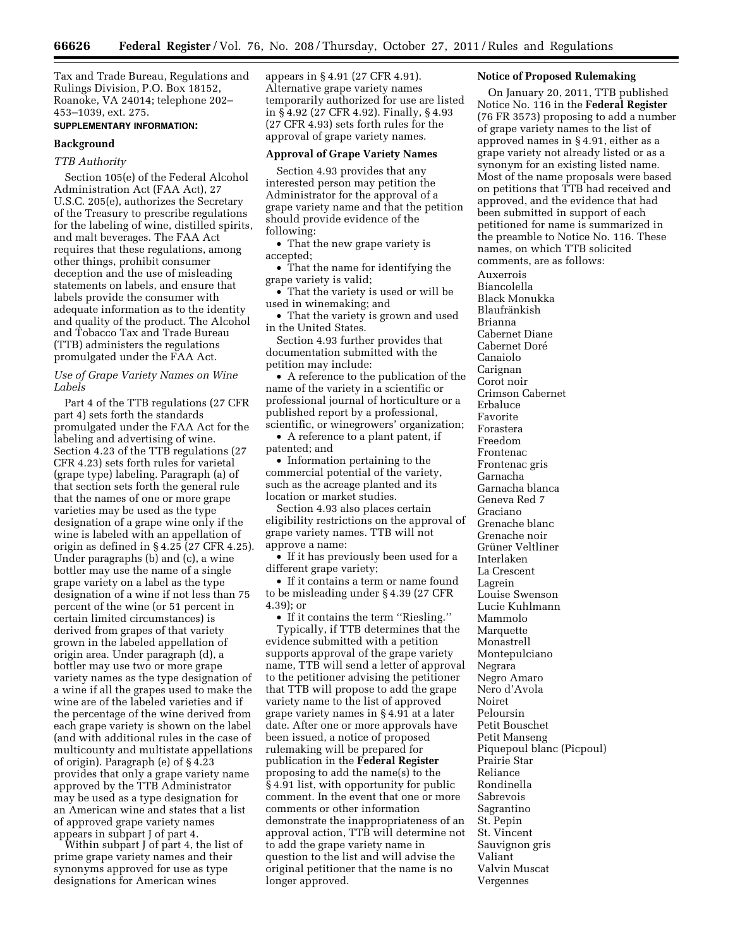Tax and Trade Bureau, Regulations and Rulings Division, P.O. Box 18152, Roanoke, VA 24014; telephone 202– 453–1039, ext. 275.

# **SUPPLEMENTARY INFORMATION:**

#### **Background**

#### *TTB Authority*

Section 105(e) of the Federal Alcohol Administration Act (FAA Act), 27 U.S.C. 205(e), authorizes the Secretary of the Treasury to prescribe regulations for the labeling of wine, distilled spirits, and malt beverages. The FAA Act requires that these regulations, among other things, prohibit consumer deception and the use of misleading statements on labels, and ensure that labels provide the consumer with adequate information as to the identity and quality of the product. The Alcohol and Tobacco Tax and Trade Bureau (TTB) administers the regulations promulgated under the FAA Act.

### *Use of Grape Variety Names on Wine Labels*

Part 4 of the TTB regulations (27 CFR part 4) sets forth the standards promulgated under the FAA Act for the labeling and advertising of wine. Section 4.23 of the TTB regulations (27 CFR 4.23) sets forth rules for varietal (grape type) labeling. Paragraph (a) of that section sets forth the general rule that the names of one or more grape varieties may be used as the type designation of a grape wine only if the wine is labeled with an appellation of origin as defined in § 4.25 (27 CFR 4.25). Under paragraphs (b) and (c), a wine bottler may use the name of a single grape variety on a label as the type designation of a wine if not less than 75 percent of the wine (or 51 percent in certain limited circumstances) is derived from grapes of that variety grown in the labeled appellation of origin area. Under paragraph (d), a bottler may use two or more grape variety names as the type designation of a wine if all the grapes used to make the wine are of the labeled varieties and if the percentage of the wine derived from each grape variety is shown on the label (and with additional rules in the case of multicounty and multistate appellations of origin). Paragraph (e) of § 4.23 provides that only a grape variety name approved by the TTB Administrator may be used as a type designation for an American wine and states that a list of approved grape variety names appears in subpart J of part 4.

Within subpart J of part 4, the list of prime grape variety names and their synonyms approved for use as type designations for American wines

appears in § 4.91 (27 CFR 4.91). Alternative grape variety names temporarily authorized for use are listed in § 4.92 (27 CFR 4.92). Finally, § 4.93 (27 CFR 4.93) sets forth rules for the approval of grape variety names.

### **Approval of Grape Variety Names**

Section 4.93 provides that any interested person may petition the Administrator for the approval of a grape variety name and that the petition should provide evidence of the following:

• That the new grape variety is accepted;

• That the name for identifying the grape variety is valid;

• That the variety is used or will be used in winemaking; and

• That the variety is grown and used in the United States.

Section 4.93 further provides that documentation submitted with the petition may include:

• A reference to the publication of the name of the variety in a scientific or professional journal of horticulture or a published report by a professional, scientific, or winegrowers' organization;

• A reference to a plant patent, if patented; and

• Information pertaining to the commercial potential of the variety, such as the acreage planted and its location or market studies.

Section 4.93 also places certain eligibility restrictions on the approval of grape variety names. TTB will not approve a name:

• If it has previously been used for a different grape variety;

• If it contains a term or name found to be misleading under § 4.39 (27 CFR 4.39); or

• If it contains the term ''Riesling.''

Typically, if TTB determines that the evidence submitted with a petition supports approval of the grape variety name, TTB will send a letter of approval to the petitioner advising the petitioner that TTB will propose to add the grape variety name to the list of approved grape variety names in § 4.91 at a later date. After one or more approvals have been issued, a notice of proposed rulemaking will be prepared for publication in the **Federal Register**  proposing to add the name(s) to the § 4.91 list, with opportunity for public comment. In the event that one or more comments or other information demonstrate the inappropriateness of an approval action, TTB will determine not to add the grape variety name in question to the list and will advise the original petitioner that the name is no longer approved.

#### **Notice of Proposed Rulemaking**

On January 20, 2011, TTB published Notice No. 116 in the **Federal Register**  (76 FR 3573) proposing to add a number of grape variety names to the list of approved names in § 4.91, either as a grape variety not already listed or as a synonym for an existing listed name. Most of the name proposals were based on petitions that TTB had received and approved, and the evidence that had been submitted in support of each petitioned for name is summarized in the preamble to Notice No. 116. These names, on which TTB solicited comments, are as follows:

Auxerrois Biancolella Black Monukka **Blaufränkish** Brianna Cabernet Diane Cabernet Doré Canaiolo Carignan Corot noir Crimson Cabernet Erbaluce Favorite Forastera Freedom Frontenac Frontenac gris Garnacha Garnacha blanca Geneva Red 7 Graciano Grenache blanc Grenache noir Grüner Veltliner Interlaken La Crescent Lagrein Louise Swenson Lucie Kuhlmann Mammolo Marquette Monastrell Montepulciano Negrara Negro Amaro Nero d'Avola Noiret Peloursin Petit Bouschet Petit Manseng Piquepoul blanc (Picpoul) Prairie Star Reliance Rondinella Sabrevois Sagrantino St. Pepin St. Vincent Sauvignon gris Valiant Valvin Muscat Vergennes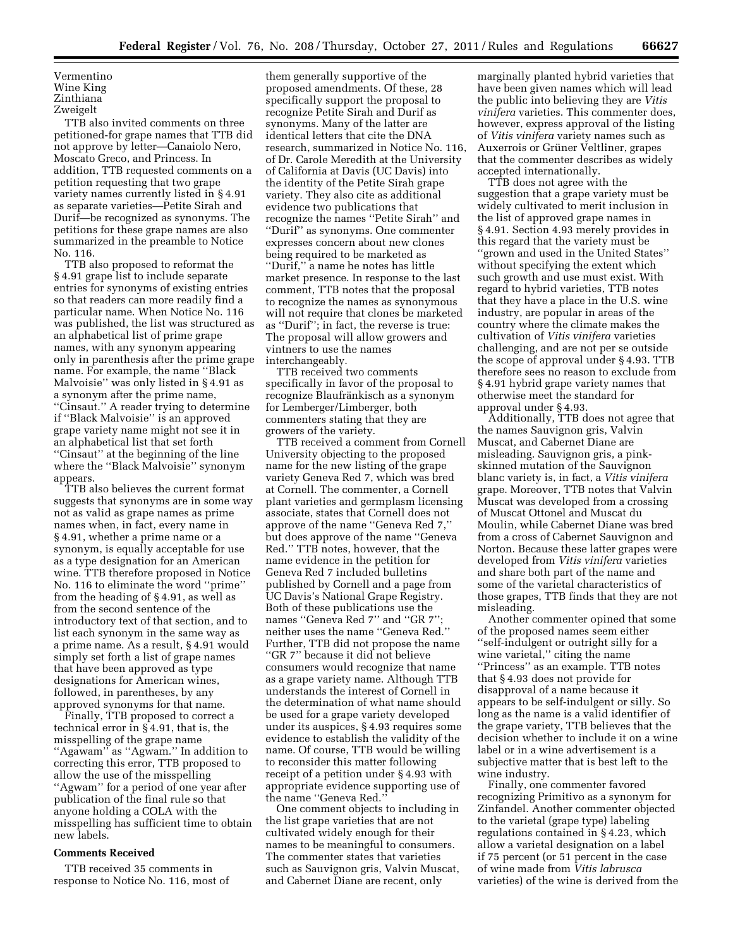```
Vermentino 
Wine King 
Zinthiana 
Zweigelt
```
TTB also invited comments on three petitioned-for grape names that TTB did not approve by letter—Canaiolo Nero, Moscato Greco, and Princess. In addition, TTB requested comments on a petition requesting that two grape variety names currently listed in § 4.91 as separate varieties—Petite Sirah and Durif—be recognized as synonyms. The petitions for these grape names are also summarized in the preamble to Notice No. 116.

TTB also proposed to reformat the § 4.91 grape list to include separate entries for synonyms of existing entries so that readers can more readily find a particular name. When Notice No. 116 was published, the list was structured as an alphabetical list of prime grape names, with any synonym appearing only in parenthesis after the prime grape name. For example, the name ''Black Malvoisie'' was only listed in § 4.91 as a synonym after the prime name, ''Cinsaut.'' A reader trying to determine if ''Black Malvoisie'' is an approved grape variety name might not see it in an alphabetical list that set forth ''Cinsaut'' at the beginning of the line where the ''Black Malvoisie'' synonym appears.

TTB also believes the current format suggests that synonyms are in some way not as valid as grape names as prime names when, in fact, every name in § 4.91, whether a prime name or a synonym, is equally acceptable for use as a type designation for an American wine. TTB therefore proposed in Notice No. 116 to eliminate the word ''prime'' from the heading of § 4.91, as well as from the second sentence of the introductory text of that section, and to list each synonym in the same way as a prime name. As a result, § 4.91 would simply set forth a list of grape names that have been approved as type designations for American wines, followed, in parentheses, by any approved synonyms for that name.

Finally, TTB proposed to correct a technical error in § 4.91, that is, the misspelling of the grape name ''Agawam'' as ''Agwam.'' In addition to correcting this error, TTB proposed to allow the use of the misspelling ''Agwam'' for a period of one year after publication of the final rule so that anyone holding a COLA with the misspelling has sufficient time to obtain new labels.

### **Comments Received**

TTB received 35 comments in response to Notice No. 116, most of

them generally supportive of the proposed amendments. Of these, 28 specifically support the proposal to recognize Petite Sirah and Durif as synonyms. Many of the latter are identical letters that cite the DNA research, summarized in Notice No. 116, of Dr. Carole Meredith at the University of California at Davis (UC Davis) into the identity of the Petite Sirah grape variety. They also cite as additional evidence two publications that recognize the names ''Petite Sirah'' and ''Durif'' as synonyms. One commenter expresses concern about new clones being required to be marketed as ''Durif,'' a name he notes has little market presence. In response to the last comment, TTB notes that the proposal to recognize the names as synonymous will not require that clones be marketed as ''Durif''; in fact, the reverse is true: The proposal will allow growers and vintners to use the names interchangeably.

TTB received two comments specifically in favor of the proposal to recognize Blaufränkisch as a synonym for Lemberger/Limberger, both commenters stating that they are growers of the variety.

TTB received a comment from Cornell University objecting to the proposed name for the new listing of the grape variety Geneva Red 7, which was bred at Cornell. The commenter, a Cornell plant varieties and germplasm licensing associate, states that Cornell does not approve of the name ''Geneva Red 7,'' but does approve of the name ''Geneva Red.'' TTB notes, however, that the name evidence in the petition for Geneva Red 7 included bulletins published by Cornell and a page from UC Davis's National Grape Registry. Both of these publications use the names ''Geneva Red 7'' and ''GR 7''; neither uses the name ''Geneva Red.'' Further, TTB did not propose the name ''GR 7'' because it did not believe consumers would recognize that name as a grape variety name. Although TTB understands the interest of Cornell in the determination of what name should be used for a grape variety developed under its auspices, § 4.93 requires some evidence to establish the validity of the name. Of course, TTB would be willing to reconsider this matter following receipt of a petition under § 4.93 with appropriate evidence supporting use of the name ''Geneva Red.''

One comment objects to including in the list grape varieties that are not cultivated widely enough for their names to be meaningful to consumers. The commenter states that varieties such as Sauvignon gris, Valvin Muscat, and Cabernet Diane are recent, only

marginally planted hybrid varieties that have been given names which will lead the public into believing they are *Vitis vinifera* varieties. This commenter does, however, express approval of the listing of *Vitis vinifera* variety names such as Auxerrois or Grüner Veltliner, grapes that the commenter describes as widely accepted internationally.

TTB does not agree with the suggestion that a grape variety must be widely cultivated to merit inclusion in the list of approved grape names in § 4.91. Section 4.93 merely provides in this regard that the variety must be ''grown and used in the United States'' without specifying the extent which such growth and use must exist. With regard to hybrid varieties, TTB notes that they have a place in the U.S. wine industry, are popular in areas of the country where the climate makes the cultivation of *Vitis vinifera* varieties challenging, and are not per se outside the scope of approval under § 4.93. TTB therefore sees no reason to exclude from § 4.91 hybrid grape variety names that otherwise meet the standard for approval under § 4.93.

Additionally, TTB does not agree that the names Sauvignon gris, Valvin Muscat, and Cabernet Diane are misleading. Sauvignon gris, a pinkskinned mutation of the Sauvignon blanc variety is, in fact, a *Vitis vinifera*  grape. Moreover, TTB notes that Valvin Muscat was developed from a crossing of Muscat Ottonel and Muscat du Moulin, while Cabernet Diane was bred from a cross of Cabernet Sauvignon and Norton. Because these latter grapes were developed from *Vitis vinifera* varieties and share both part of the name and some of the varietal characteristics of those grapes, TTB finds that they are not misleading.

Another commenter opined that some of the proposed names seem either ''self-indulgent or outright silly for a wine varietal,'' citing the name ''Princess'' as an example. TTB notes that § 4.93 does not provide for disapproval of a name because it appears to be self-indulgent or silly. So long as the name is a valid identifier of the grape variety, TTB believes that the decision whether to include it on a wine label or in a wine advertisement is a subjective matter that is best left to the wine industry.

Finally, one commenter favored recognizing Primitivo as a synonym for Zinfandel. Another commenter objected to the varietal (grape type) labeling regulations contained in § 4.23, which allow a varietal designation on a label if 75 percent (or 51 percent in the case of wine made from *Vitis labrusca*  varieties) of the wine is derived from the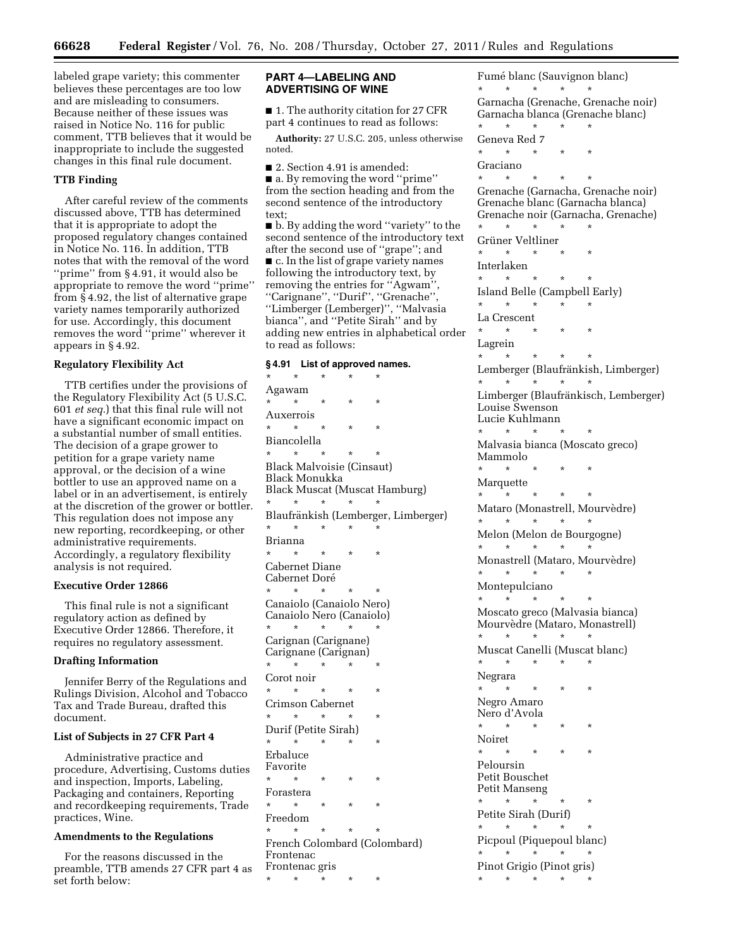labeled grape variety; this commenter believes these percentages are too low and are misleading to consumers. Because neither of these issues was raised in Notice No. 116 for public comment, TTB believes that it would be inappropriate to include the suggested changes in this final rule document.

### **TTB Finding**

After careful review of the comments discussed above, TTB has determined that it is appropriate to adopt the proposed regulatory changes contained in Notice No. 116. In addition, TTB notes that with the removal of the word ''prime'' from § 4.91, it would also be appropriate to remove the word ''prime'' from § 4.92, the list of alternative grape variety names temporarily authorized for use. Accordingly, this document removes the word ''prime'' wherever it appears in § 4.92.

#### **Regulatory Flexibility Act**

TTB certifies under the provisions of the Regulatory Flexibility Act (5 U.S.C. 601 *et seq.*) that this final rule will not have a significant economic impact on a substantial number of small entities. The decision of a grape grower to petition for a grape variety name approval, or the decision of a wine bottler to use an approved name on a label or in an advertisement, is entirely at the discretion of the grower or bottler. This regulation does not impose any new reporting, recordkeeping, or other administrative requirements. Accordingly, a regulatory flexibility analysis is not required.

### **Executive Order 12866**

This final rule is not a significant regulatory action as defined by Executive Order 12866. Therefore, it requires no regulatory assessment.

### **Drafting Information**

Jennifer Berry of the Regulations and Rulings Division, Alcohol and Tobacco Tax and Trade Bureau, drafted this document.

# **List of Subjects in 27 CFR Part 4**

Administrative practice and procedure, Advertising, Customs duties and inspection, Imports, Labeling, Packaging and containers, Reporting and recordkeeping requirements, Trade practices, Wine.

### **Amendments to the Regulations**

For the reasons discussed in the preamble, TTB amends 27 CFR part 4 as set forth below:

### **PART 4—LABELING AND ADVERTISING OF WINE**

■ 1. The authority citation for 27 CFR part 4 continues to read as follows:

**Authority:** 27 U.S.C. 205, unless otherwise noted.

- 2. Section 4.91 is amended:
- a. By removing the word "prime" from the section heading and from the second sentence of the introductory text;

■ b. By adding the word "variety" to the second sentence of the introductory text after the second use of ''grape''; and ■ c. In the list of grape variety names following the introductory text, by removing the entries for ''Agwam'', ''Carignane'', ''Durif'', ''Grenache'', ''Limberger (Lemberger)'', ''Malvasia bianca'', and ''Petite Sirah'' and by adding new entries in alphabetical order to read as follows:

### **§ 4.91 List of approved names.**

\* \* \* \* \* Agawam \* \* \* \* \* Auxerrois \* \* \* \* \* Biancolella \* \* \* \* \* Black Malvoisie (Cinsaut) Black Monukka Black Muscat (Muscat Hamburg) \* \* \* \* \* Blaufränkish (Lemberger, Limberger) \* \* \* \* \* Brianna \* \* \* \* \* Cabernet Diane Cabernet Doré \* \* \* \* \* Canaiolo (Canaiolo Nero) Canaiolo Nero (Canaiolo) \* \* \* \* \* Carignan (Carignane) Carignane (Carignan) \* \* \* \* \* Corot noir \* \* \* \* \* Crimson Cabernet \* \* \* \* \* Durif (Petite Sirah) \* \* \* \* \* Erbaluce Favorite \* \* \* \* \* Forastera \* \* \* \* \* Freedom \* \* \* \* \* French Colombard (Colombard) Frontenac Frontenac gris \* \* \* \* \*

Fumé blanc (Sauvignon blanc) \* \* \* \* \* Garnacha (Grenache, Grenache noir) Garnacha blanca (Grenache blanc) \* \* \* \* \* Geneva Red 7 \* \* \* \* \* Graciano \* \* \* \* \* Grenache (Garnacha, Grenache noir) Grenache blanc (Garnacha blanca) Grenache noir (Garnacha, Grenache) \* \* \* \* \* Grüner Veltliner \* \* \* \* \* Interlaken \* \* \* \* \* Island Belle (Campbell Early) \* \* \* \* \* La Crescent \* \* \* \* \* Lagrein \* \* \* \* \* Lemberger (Blaufränkish, Limberger) \* \* \* \* \* Limberger (Blaufränkisch, Lemberger) Louise Swenson Lucie Kuhlmann \* \* \* \* \* Malvasia bianca (Moscato greco) Mammolo \* \* \* \* \* Marquette \* \* \* \* \* Mataro (Monastrell, Mourvèdre) \* \* \* \* \* Melon (Melon de Bourgogne) \* \* \* \* \* Monastrell (Mataro, Mourvèdre) \* \* \* \* \* Montepulciano \* \* \* \* \* Moscato greco (Malvasia bianca) Mourvèdre (Mataro, Monastrell) \* \* \* \* \* Muscat Canelli (Muscat blanc) \* \* \* \* \* Negrara \* \* \* \* \* Negro Amaro Nero d'Avola \* \* \* \* \* Noiret \* \* \* \* \* Peloursin Petit Bouschet Petit Manseng \* \* \* \* \* Petite Sirah (Durif)  $\star$   $\star$ Picpoul (Piquepoul blanc)  $\star$   $\quad$   $\star$   $\quad$   $\star$ Pinot Grigio (Pinot gris) \* \* \* \* \*